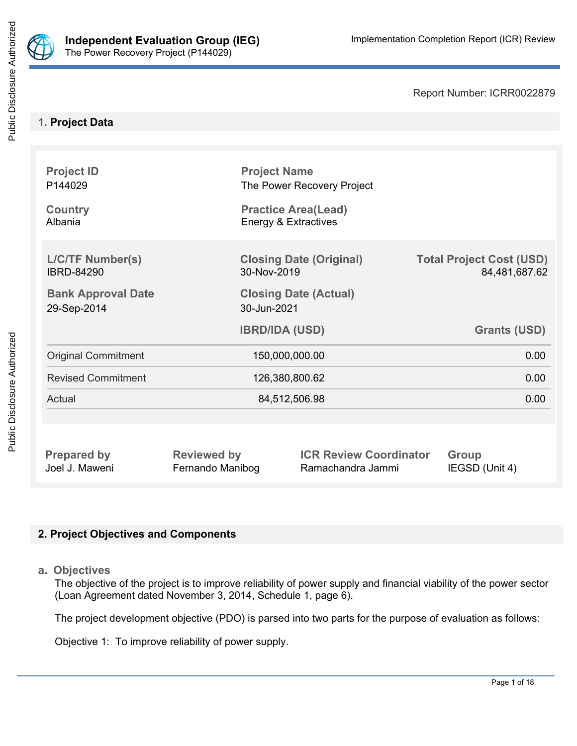

Report Number: ICRR0022879

### **1. Project Data**

| <b>Project ID</b><br>P144029                 | <b>Project Name</b><br>The Power Recovery Project  |                                                  |
|----------------------------------------------|----------------------------------------------------|--------------------------------------------------|
| <b>Country</b><br>Albania                    | <b>Practice Area(Lead)</b><br>Energy & Extractives |                                                  |
| <b>L/C/TF Number(s)</b><br><b>IBRD-84290</b> | <b>Closing Date (Original)</b><br>30-Nov-2019      | <b>Total Project Cost (USD)</b><br>84,481,687.62 |
| <b>Bank Approval Date</b><br>29-Sep-2014     | <b>Closing Date (Actual)</b><br>30-Jun-2021        |                                                  |
|                                              | <b>IBRD/IDA (USD)</b>                              | <b>Grants (USD)</b>                              |
| <b>Original Commitment</b>                   | 150,000,000.00                                     | 0.00                                             |
| <b>Revised Commitment</b>                    | 126,380,800.62                                     | 0.00                                             |
| Actual                                       | 84,512,506.98                                      | 0.00                                             |
|                                              |                                                    |                                                  |

**Prepared by Reviewed by ICR Review Coordinator Group** Joel J. Maweni Fernando Manibog Ramachandra Jammi IEGSD (Unit 4)

## **2. Project Objectives and Components**

**a. Objectives**

The objective of the project is to improve reliability of power supply and financial viability of the power sector (Loan Agreement dated November 3, 2014, Schedule 1, page 6).

The project development objective (PDO) is parsed into two parts for the purpose of evaluation as follows:

Objective 1: To improve reliability of power supply.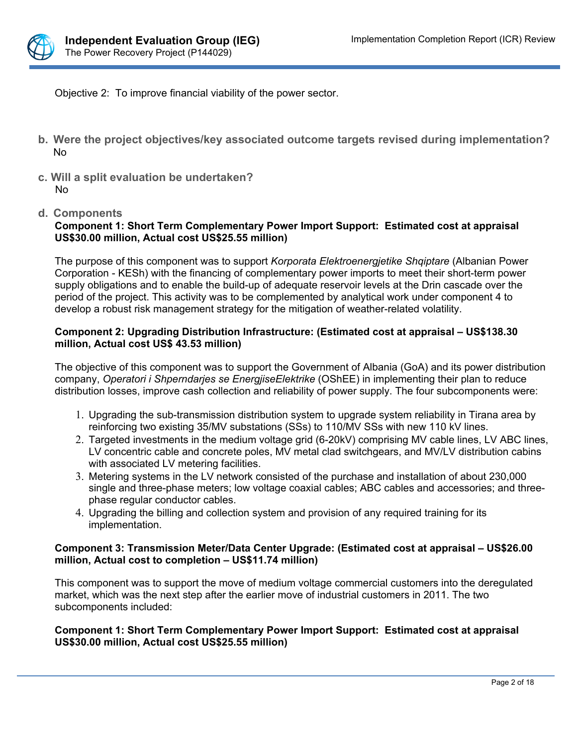

Objective 2: To improve financial viability of the power sector.

- **b. Were the project objectives/key associated outcome targets revised during implementation?** No
- **c. Will a split evaluation be undertaken?** No
- **d. Components**

### **Component 1: Short Term Complementary Power Import Support: Estimated cost at appraisal US\$30.00 million, Actual cost US\$25.55 million)**

The purpose of this component was to support *Korporata Elektroenergjetike Shqiptare* (Albanian Power Corporation - KESh) with the financing of complementary power imports to meet their short-term power supply obligations and to enable the build-up of adequate reservoir levels at the Drin cascade over the period of the project. This activity was to be complemented by analytical work under component 4 to develop a robust risk management strategy for the mitigation of weather-related volatility.

### **Component 2: Upgrading Distribution Infrastructure: (Estimated cost at appraisal – US\$138.30 million, Actual cost US\$ 43.53 million)**

The objective of this component was to support the Government of Albania (GoA) and its power distribution company, *Operatori i Shperndarjes se EnergjiseElektrike* (OShEE) in implementing their plan to reduce distribution losses, improve cash collection and reliability of power supply. The four subcomponents were:

- 1. Upgrading the sub-transmission distribution system to upgrade system reliability in Tirana area by reinforcing two existing 35/MV substations (SSs) to 110/MV SSs with new 110 kV lines.
- 2. Targeted investments in the medium voltage grid (6-20kV) comprising MV cable lines, LV ABC lines, LV concentric cable and concrete poles, MV metal clad switchgears, and MV/LV distribution cabins with associated LV metering facilities.
- 3. Metering systems in the LV network consisted of the purchase and installation of about 230,000 single and three-phase meters; low voltage coaxial cables; ABC cables and accessories; and threephase regular conductor cables.
- 4. Upgrading the billing and collection system and provision of any required training for its implementation.

### **Component 3: Transmission Meter/Data Center Upgrade: (Estimated cost at appraisal – US\$26.00 million, Actual cost to completion – US\$11.74 million)**

This component was to support the move of medium voltage commercial customers into the deregulated market, which was the next step after the earlier move of industrial customers in 2011. The two subcomponents included:

### **Component 1: Short Term Complementary Power Import Support: Estimated cost at appraisal US\$30.00 million, Actual cost US\$25.55 million)**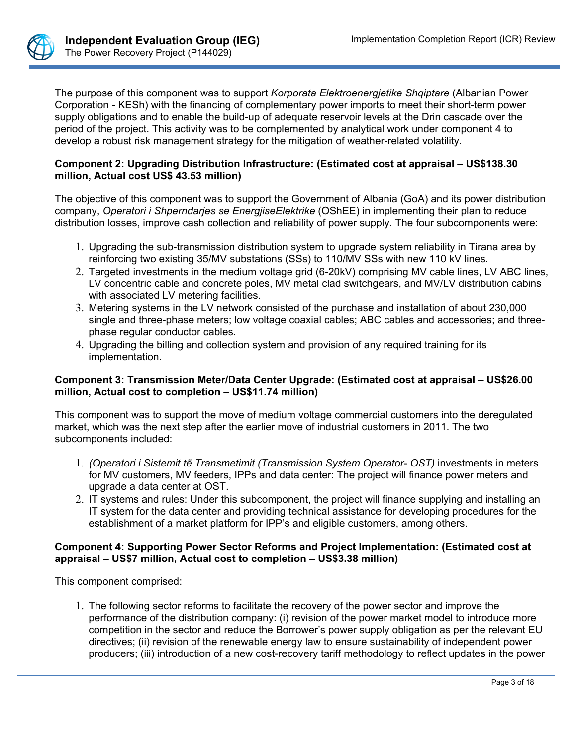

The purpose of this component was to support *Korporata Elektroenergjetike Shqiptare* (Albanian Power Corporation - KESh) with the financing of complementary power imports to meet their short-term power supply obligations and to enable the build-up of adequate reservoir levels at the Drin cascade over the period of the project. This activity was to be complemented by analytical work under component 4 to develop a robust risk management strategy for the mitigation of weather-related volatility.

### **Component 2: Upgrading Distribution Infrastructure: (Estimated cost at appraisal – US\$138.30 million, Actual cost US\$ 43.53 million)**

The objective of this component was to support the Government of Albania (GoA) and its power distribution company, *Operatori i Shperndarjes se EnergjiseElektrike* (OShEE) in implementing their plan to reduce distribution losses, improve cash collection and reliability of power supply. The four subcomponents were:

- 1. Upgrading the sub-transmission distribution system to upgrade system reliability in Tirana area by reinforcing two existing 35/MV substations (SSs) to 110/MV SSs with new 110 kV lines.
- 2. Targeted investments in the medium voltage grid (6-20kV) comprising MV cable lines, LV ABC lines, LV concentric cable and concrete poles, MV metal clad switchgears, and MV/LV distribution cabins with associated LV metering facilities.
- 3. Metering systems in the LV network consisted of the purchase and installation of about 230,000 single and three-phase meters; low voltage coaxial cables; ABC cables and accessories; and threephase regular conductor cables.
- 4. Upgrading the billing and collection system and provision of any required training for its implementation.

### **Component 3: Transmission Meter/Data Center Upgrade: (Estimated cost at appraisal – US\$26.00 million, Actual cost to completion – US\$11.74 million)**

This component was to support the move of medium voltage commercial customers into the deregulated market, which was the next step after the earlier move of industrial customers in 2011. The two subcomponents included:

- 1. *(Operatori i Sistemit të Transmetimit (Transmission System Operator- OST)* investments in meters for MV customers, MV feeders, IPPs and data center: The project will finance power meters and upgrade a data center at OST.
- 2. IT systems and rules: Under this subcomponent, the project will finance supplying and installing an IT system for the data center and providing technical assistance for developing procedures for the establishment of a market platform for IPP's and eligible customers, among others.

### **Component 4: Supporting Power Sector Reforms and Project Implementation: (Estimated cost at appraisal – US\$7 million, Actual cost to completion – US\$3.38 million)**

This component comprised:

1. The following sector reforms to facilitate the recovery of the power sector and improve the performance of the distribution company: (i) revision of the power market model to introduce more competition in the sector and reduce the Borrower's power supply obligation as per the relevant EU directives; (ii) revision of the renewable energy law to ensure sustainability of independent power producers; (iii) introduction of a new cost-recovery tariff methodology to reflect updates in the power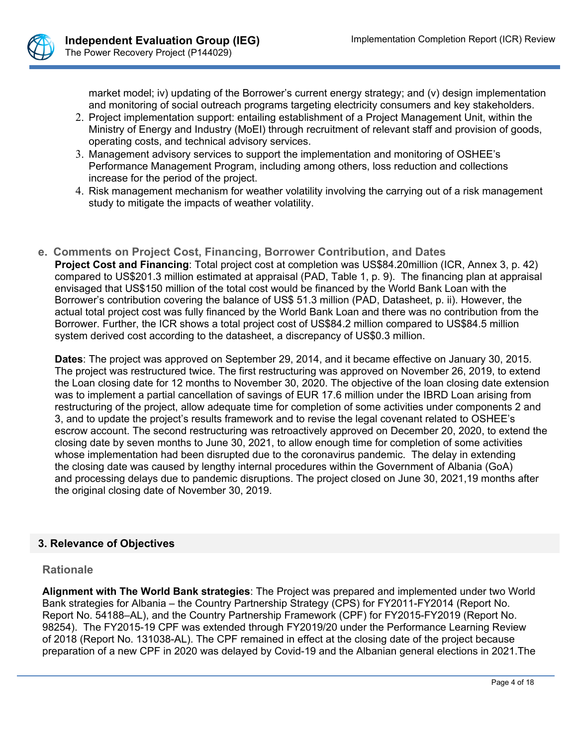

market model; iv) updating of the Borrower's current energy strategy; and (v) design implementation and monitoring of social outreach programs targeting electricity consumers and key stakeholders.

- 2. Project implementation support: entailing establishment of a Project Management Unit, within the Ministry of Energy and Industry (MoEI) through recruitment of relevant staff and provision of goods, operating costs, and technical advisory services.
- 3. Management advisory services to support the implementation and monitoring of OSHEE's Performance Management Program, including among others, loss reduction and collections increase for the period of the project.
- 4. Risk management mechanism for weather volatility involving the carrying out of a risk management study to mitigate the impacts of weather volatility.
- **e. Comments on Project Cost, Financing, Borrower Contribution, and Dates Project Cost and Financing**: Total project cost at completion was US\$84.20million (ICR, Annex 3, p. 42) compared to US\$201.3 million estimated at appraisal (PAD, Table 1, p. 9). The financing plan at appraisal envisaged that US\$150 million of the total cost would be financed by the World Bank Loan with the Borrower's contribution covering the balance of US\$ 51.3 million (PAD, Datasheet, p. ii). However, the actual total project cost was fully financed by the World Bank Loan and there was no contribution from the Borrower. Further, the ICR shows a total project cost of US\$84.2 million compared to US\$84.5 million system derived cost according to the datasheet, a discrepancy of US\$0.3 million.

**Dates**: The project was approved on September 29, 2014, and it became effective on January 30, 2015. The project was restructured twice. The first restructuring was approved on November 26, 2019, to extend the Loan closing date for 12 months to November 30, 2020. The objective of the loan closing date extension was to implement a partial cancellation of savings of EUR 17.6 million under the IBRD Loan arising from restructuring of the project, allow adequate time for completion of some activities under components 2 and 3, and to update the project's results framework and to revise the legal covenant related to OSHEE's escrow account. The second restructuring was retroactively approved on December 20, 2020, to extend the closing date by seven months to June 30, 2021, to allow enough time for completion of some activities whose implementation had been disrupted due to the coronavirus pandemic. The delay in extending the closing date was caused by lengthy internal procedures within the Government of Albania (GoA) and processing delays due to pandemic disruptions. The project closed on June 30, 2021,19 months after the original closing date of November 30, 2019.

### **3. Relevance of Objectives**

### **Rationale**

**Alignment with The World Bank strategies**: The Project was prepared and implemented under two World Bank strategies for Albania – the Country Partnership Strategy (CPS) for FY2011-FY2014 (Report No. Report No. 54188–AL), and the Country Partnership Framework (CPF) for FY2015-FY2019 (Report No. 98254). The FY2015-19 CPF was extended through FY2019/20 under the Performance Learning Review of 2018 (Report No. 131038-AL). The CPF remained in effect at the closing date of the project because preparation of a new CPF in 2020 was delayed by Covid-19 and the Albanian general elections in 2021.The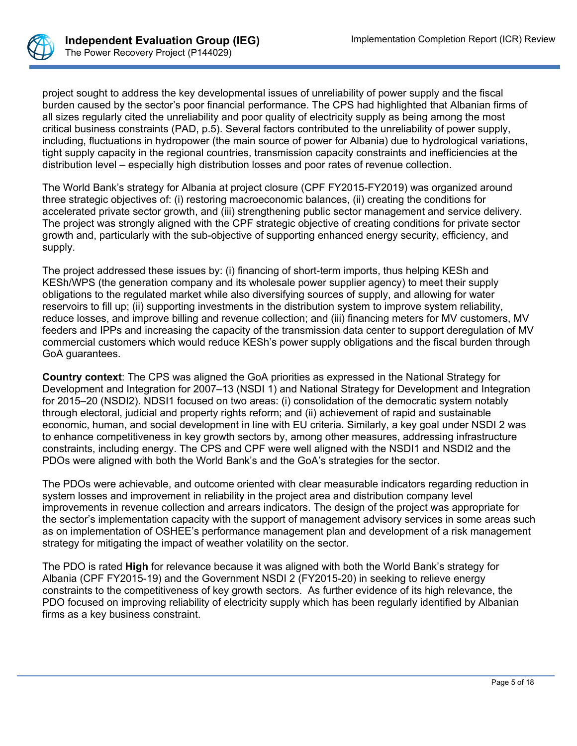

project sought to address the key developmental issues of unreliability of power supply and the fiscal burden caused by the sector's poor financial performance. The CPS had highlighted that Albanian firms of all sizes regularly cited the unreliability and poor quality of electricity supply as being among the most critical business constraints (PAD, p.5). Several factors contributed to the unreliability of power supply, including, fluctuations in hydropower (the main source of power for Albania) due to hydrological variations, tight supply capacity in the regional countries, transmission capacity constraints and inefficiencies at the distribution level – especially high distribution losses and poor rates of revenue collection.

The World Bank's strategy for Albania at project closure (CPF FY2015-FY2019) was organized around three strategic objectives of: (i) restoring macroeconomic balances, (ii) creating the conditions for accelerated private sector growth, and (iii) strengthening public sector management and service delivery. The project was strongly aligned with the CPF strategic objective of creating conditions for private sector growth and, particularly with the sub-objective of supporting enhanced energy security, efficiency, and supply.

The project addressed these issues by: (i) financing of short-term imports, thus helping KESh and KESh/WPS (the generation company and its wholesale power supplier agency) to meet their supply obligations to the regulated market while also diversifying sources of supply, and allowing for water reservoirs to fill up; (ii) supporting investments in the distribution system to improve system reliability, reduce losses, and improve billing and revenue collection; and (iii) financing meters for MV customers, MV feeders and IPPs and increasing the capacity of the transmission data center to support deregulation of MV commercial customers which would reduce KESh's power supply obligations and the fiscal burden through GoA guarantees.

**Country context**: The CPS was aligned the GoA priorities as expressed in the National Strategy for Development and Integration for 2007–13 (NSDI 1) and National Strategy for Development and Integration for 2015–20 (NSDI2). NDSI1 focused on two areas: (i) consolidation of the democratic system notably through electoral, judicial and property rights reform; and (ii) achievement of rapid and sustainable economic, human, and social development in line with EU criteria. Similarly, a key goal under NSDI 2 was to enhance competitiveness in key growth sectors by, among other measures, addressing infrastructure constraints, including energy. The CPS and CPF were well aligned with the NSDI1 and NSDI2 and the PDOs were aligned with both the World Bank's and the GoA's strategies for the sector.

The PDOs were achievable, and outcome oriented with clear measurable indicators regarding reduction in system losses and improvement in reliability in the project area and distribution company level improvements in revenue collection and arrears indicators. The design of the project was appropriate for the sector's implementation capacity with the support of management advisory services in some areas such as on implementation of OSHEE's performance management plan and development of a risk management strategy for mitigating the impact of weather volatility on the sector.

The PDO is rated **High** for relevance because it was aligned with both the World Bank's strategy for Albania (CPF FY2015-19) and the Government NSDI 2 (FY2015-20) in seeking to relieve energy constraints to the competitiveness of key growth sectors. As further evidence of its high relevance, the PDO focused on improving reliability of electricity supply which has been regularly identified by Albanian firms as a key business constraint.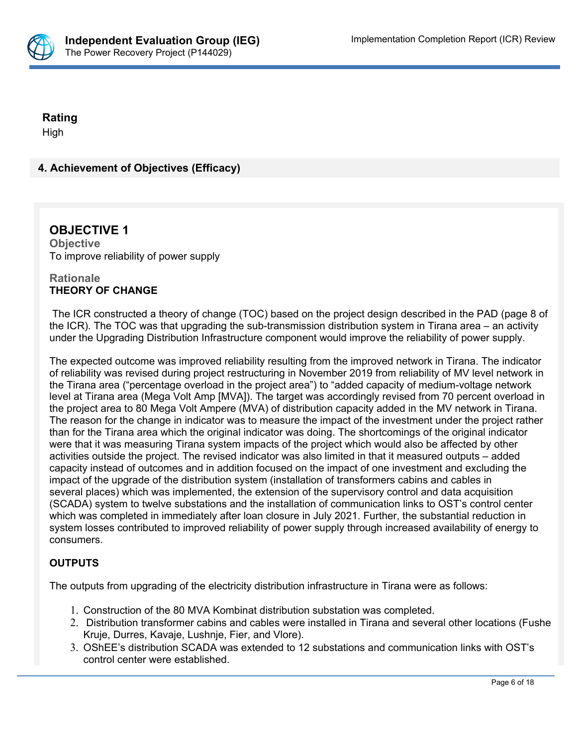

### **Rating**

High

## **4. Achievement of Objectives (Efficacy)**

### **OBJECTIVE 1 Objective** To improve reliability of power supply

### **Rationale THEORY OF CHANGE**

 The ICR constructed a theory of change (TOC) based on the project design described in the PAD (page 8 of the ICR). The TOC was that upgrading the sub-transmission distribution system in Tirana area – an activity under the Upgrading Distribution Infrastructure component would improve the reliability of power supply.

The expected outcome was improved reliability resulting from the improved network in Tirana. The indicator of reliability was revised during project restructuring in November 2019 from reliability of MV level network in the Tirana area ("percentage overload in the project area") to "added capacity of medium-voltage network level at Tirana area (Mega Volt Amp [MVA]). The target was accordingly revised from 70 percent overload in the project area to 80 Mega Volt Ampere (MVA) of distribution capacity added in the MV network in Tirana. The reason for the change in indicator was to measure the impact of the investment under the project rather than for the Tirana area which the original indicator was doing. The shortcomings of the original indicator were that it was measuring Tirana system impacts of the project which would also be affected by other activities outside the project. The revised indicator was also limited in that it measured outputs – added capacity instead of outcomes and in addition focused on the impact of one investment and excluding the impact of the upgrade of the distribution system (installation of transformers cabins and cables in several places) which was implemented, the extension of the supervisory control and data acquisition (SCADA) system to twelve substations and the installation of communication links to OST's control center which was completed in immediately after loan closure in July 2021. Further, the substantial reduction in system losses contributed to improved reliability of power supply through increased availability of energy to consumers.

### **OUTPUTS**

The outputs from upgrading of the electricity distribution infrastructure in Tirana were as follows:

- 1. Construction of the 80 MVA Kombinat distribution substation was completed.
- 2. Distribution transformer cabins and cables were installed in Tirana and several other locations (Fushe Kruje, Durres, Kavaje, Lushnje, Fier, and Vlore).
- 3. OShEE's distribution SCADA was extended to 12 substations and communication links with OST's control center were established.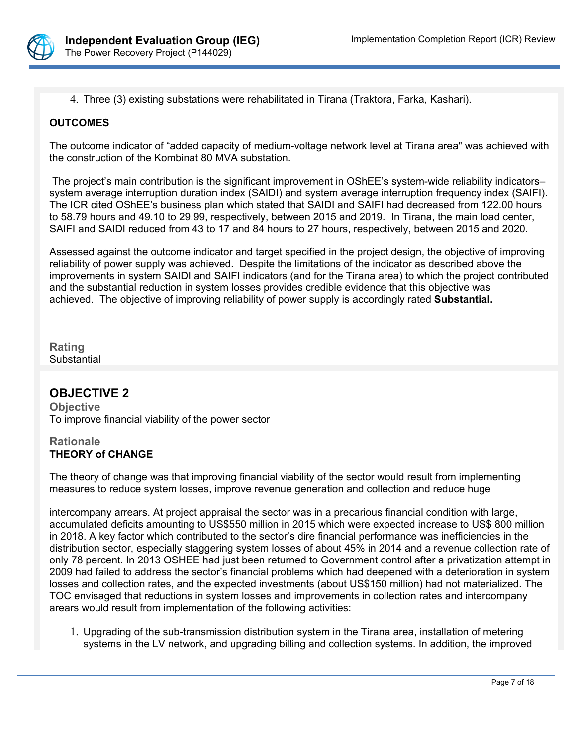

4. Three (3) existing substations were rehabilitated in Tirana (Traktora, Farka, Kashari).

### **OUTCOMES**

The outcome indicator of "added capacity of medium-voltage network level at Tirana area" was achieved with the construction of the Kombinat 80 MVA substation.

 The project's main contribution is the significant improvement in OShEE's system-wide reliability indicators– system average interruption duration index (SAIDI) and system average interruption frequency index (SAIFI). The ICR cited OShEE's business plan which stated that SAIDI and SAIFI had decreased from 122.00 hours to 58.79 hours and 49.10 to 29.99, respectively, between 2015 and 2019. In Tirana, the main load center, SAIFI and SAIDI reduced from 43 to 17 and 84 hours to 27 hours, respectively, between 2015 and 2020.

Assessed against the outcome indicator and target specified in the project design, the objective of improving reliability of power supply was achieved. Despite the limitations of the indicator as described above the improvements in system SAIDI and SAIFI indicators (and for the Tirana area) to which the project contributed and the substantial reduction in system losses provides credible evidence that this objective was achieved. The objective of improving reliability of power supply is accordingly rated **Substantial.**

**Rating Substantial** 

### **OBJECTIVE 2**

**Objective** To improve financial viability of the power sector

### **Rationale THEORY of CHANGE**

The theory of change was that improving financial viability of the sector would result from implementing measures to reduce system losses, improve revenue generation and collection and reduce huge

intercompany arrears. At project appraisal the sector was in a precarious financial condition with large, accumulated deficits amounting to US\$550 million in 2015 which were expected increase to US\$ 800 million in 2018. A key factor which contributed to the sector's dire financial performance was inefficiencies in the distribution sector, especially staggering system losses of about 45% in 2014 and a revenue collection rate of only 78 percent. In 2013 OSHEE had just been returned to Government control after a privatization attempt in 2009 had failed to address the sector's financial problems which had deepened with a deterioration in system losses and collection rates, and the expected investments (about US\$150 million) had not materialized. The TOC envisaged that reductions in system losses and improvements in collection rates and intercompany arears would result from implementation of the following activities:

1. Upgrading of the sub-transmission distribution system in the Tirana area, installation of metering systems in the LV network, and upgrading billing and collection systems. In addition, the improved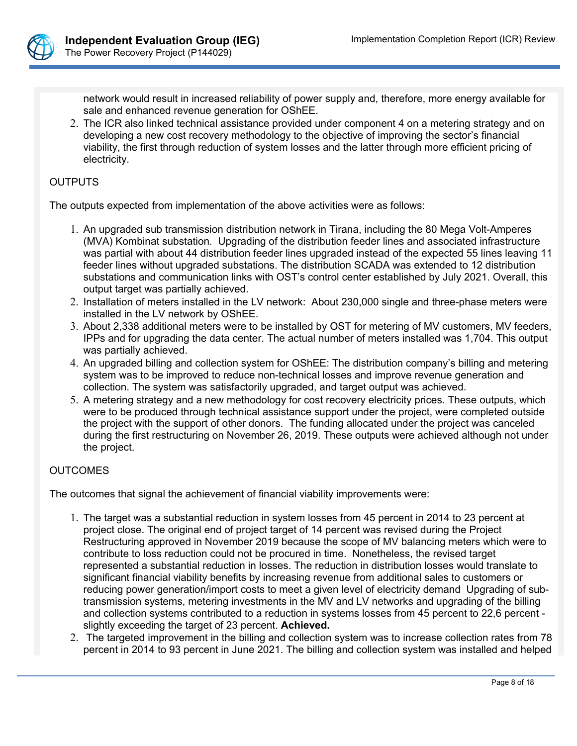

network would result in increased reliability of power supply and, therefore, more energy available for sale and enhanced revenue generation for OShEE.

2. The ICR also linked technical assistance provided under component 4 on a metering strategy and on developing a new cost recovery methodology to the objective of improving the sector's financial viability, the first through reduction of system losses and the latter through more efficient pricing of electricity.

### **OUTPUTS**

The outputs expected from implementation of the above activities were as follows:

- 1. An upgraded sub transmission distribution network in Tirana, including the 80 Mega Volt-Amperes (MVA) Kombinat substation. Upgrading of the distribution feeder lines and associated infrastructure was partial with about 44 distribution feeder lines upgraded instead of the expected 55 lines leaving 11 feeder lines without upgraded substations. The distribution SCADA was extended to 12 distribution substations and communication links with OST's control center established by July 2021. Overall, this output target was partially achieved.
- 2. Installation of meters installed in the LV network: About 230,000 single and three-phase meters were installed in the LV network by OShEE.
- 3. About 2,338 additional meters were to be installed by OST for metering of MV customers, MV feeders, IPPs and for upgrading the data center. The actual number of meters installed was 1,704. This output was partially achieved.
- 4. An upgraded billing and collection system for OShEE: The distribution company's billing and metering system was to be improved to reduce non-technical losses and improve revenue generation and collection. The system was satisfactorily upgraded, and target output was achieved.
- 5. A metering strategy and a new methodology for cost recovery electricity prices. These outputs, which were to be produced through technical assistance support under the project, were completed outside the project with the support of other donors. The funding allocated under the project was canceled during the first restructuring on November 26, 2019. These outputs were achieved although not under the project.

### **OUTCOMES**

The outcomes that signal the achievement of financial viability improvements were:

- 1. The target was a substantial reduction in system losses from 45 percent in 2014 to 23 percent at project close. The original end of project target of 14 percent was revised during the Project Restructuring approved in November 2019 because the scope of MV balancing meters which were to contribute to loss reduction could not be procured in time. Nonetheless, the revised target represented a substantial reduction in losses. The reduction in distribution losses would translate to significant financial viability benefits by increasing revenue from additional sales to customers or reducing power generation/import costs to meet a given level of electricity demand Upgrading of subtransmission systems, metering investments in the MV and LV networks and upgrading of the billing and collection systems contributed to a reduction in systems losses from 45 percent to 22,6 percent slightly exceeding the target of 23 percent. **Achieved.**
- 2. The targeted improvement in the billing and collection system was to increase collection rates from 78 percent in 2014 to 93 percent in June 2021. The billing and collection system was installed and helped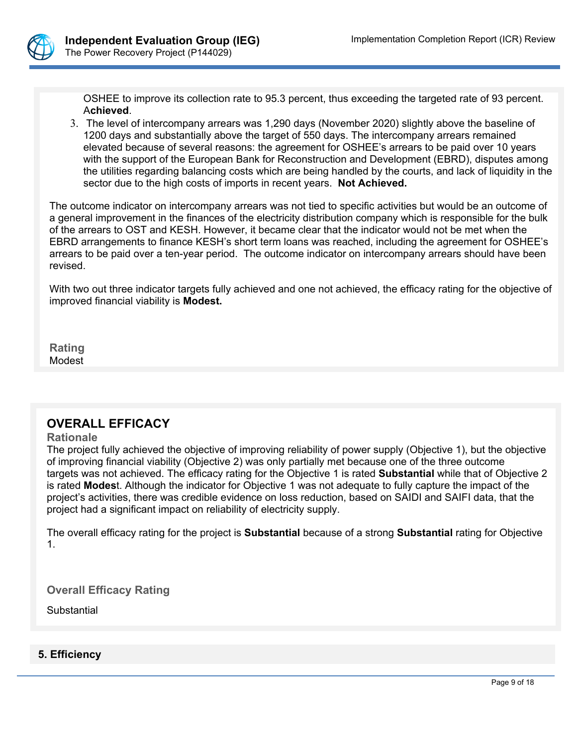

OSHEE to improve its collection rate to 95.3 percent, thus exceeding the targeted rate of 93 percent. A**chieved**.

3. The level of intercompany arrears was 1,290 days (November 2020) slightly above the baseline of 1200 days and substantially above the target of 550 days. The intercompany arrears remained elevated because of several reasons: the agreement for OSHEE's arrears to be paid over 10 years with the support of the European Bank for Reconstruction and Development (EBRD), disputes among the utilities regarding balancing costs which are being handled by the courts, and lack of liquidity in the sector due to the high costs of imports in recent years. **Not Achieved.**

The outcome indicator on intercompany arrears was not tied to specific activities but would be an outcome of a general improvement in the finances of the electricity distribution company which is responsible for the bulk of the arrears to OST and KESH. However, it became clear that the indicator would not be met when the EBRD arrangements to finance KESH's short term loans was reached, including the agreement for OSHEE's arrears to be paid over a ten-year period. The outcome indicator on intercompany arrears should have been revised.

With two out three indicator targets fully achieved and one not achieved, the efficacy rating for the objective of improved financial viability is **Modest.**

**Rating Modest** 

# **OVERALL EFFICACY**

#### **Rationale**

The project fully achieved the objective of improving reliability of power supply (Objective 1), but the objective of improving financial viability (Objective 2) was only partially met because one of the three outcome targets was not achieved. The efficacy rating for the Objective 1 is rated **Substantial** while that of Objective 2 is rated **Modes**t. Although the indicator for Objective 1 was not adequate to fully capture the impact of the project's activities, there was credible evidence on loss reduction, based on SAIDI and SAIFI data, that the project had a significant impact on reliability of electricity supply.

The overall efficacy rating for the project is **Substantial** because of a strong **Substantial** rating for Objective 1.

**Overall Efficacy Rating**

**Substantial** 

### **5. Efficiency**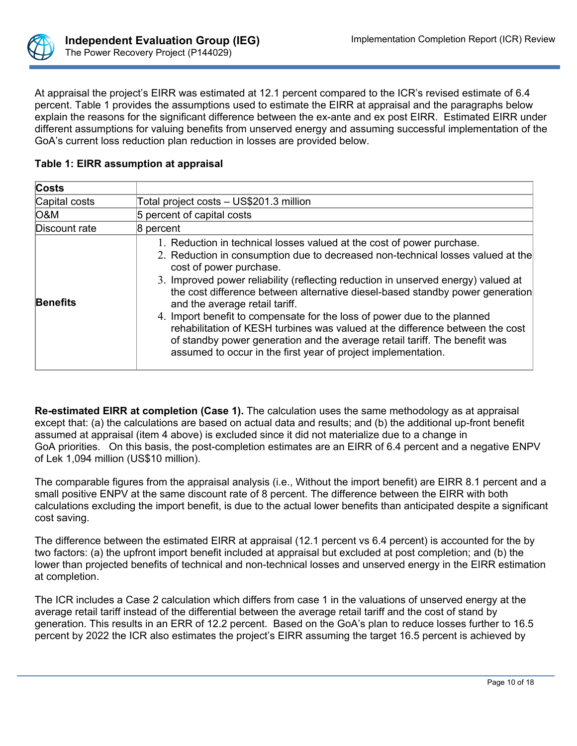

At appraisal the project's EIRR was estimated at 12.1 percent compared to the ICR's revised estimate of 6.4 percent. Table 1 provides the assumptions used to estimate the EIRR at appraisal and the paragraphs below explain the reasons for the significant difference between the ex-ante and ex post EIRR. Estimated EIRR under different assumptions for valuing benefits from unserved energy and assuming successful implementation of the GoA's current loss reduction plan reduction in losses are provided below.

| Costs           |                                                                                                                                                                                                                                                                                                                                                                                                                                                                                                                                                                                                                                                                                                          |
|-----------------|----------------------------------------------------------------------------------------------------------------------------------------------------------------------------------------------------------------------------------------------------------------------------------------------------------------------------------------------------------------------------------------------------------------------------------------------------------------------------------------------------------------------------------------------------------------------------------------------------------------------------------------------------------------------------------------------------------|
| Capital costs   | Total project costs - US\$201.3 million                                                                                                                                                                                                                                                                                                                                                                                                                                                                                                                                                                                                                                                                  |
| <b>O&amp;M</b>  | 5 percent of capital costs                                                                                                                                                                                                                                                                                                                                                                                                                                                                                                                                                                                                                                                                               |
| Discount rate   | 8 percent                                                                                                                                                                                                                                                                                                                                                                                                                                                                                                                                                                                                                                                                                                |
| <b>Benefits</b> | 1. Reduction in technical losses valued at the cost of power purchase.<br>2. Reduction in consumption due to decreased non-technical losses valued at the<br>cost of power purchase.<br>3. Improved power reliability (reflecting reduction in unserved energy) valued at<br>the cost difference between alternative diesel-based standby power generation<br>and the average retail tariff.<br>4. Import benefit to compensate for the loss of power due to the planned<br>rehabilitation of KESH turbines was valued at the difference between the cost<br>of standby power generation and the average retail tariff. The benefit was<br>assumed to occur in the first year of project implementation. |

## **Table 1: EIRR assumption at appraisal**

**Re-estimated EIRR at completion (Case 1).** The calculation uses the same methodology as at appraisal except that: (a) the calculations are based on actual data and results; and (b) the additional up-front benefit assumed at appraisal (item 4 above) is excluded since it did not materialize due to a change in GoA priorities. On this basis, the post-completion estimates are an EIRR of 6.4 percent and a negative ENPV of Lek 1,094 million (US\$10 million).

The comparable figures from the appraisal analysis (i.e., Without the import benefit) are EIRR 8.1 percent and a small positive ENPV at the same discount rate of 8 percent. The difference between the EIRR with both calculations excluding the import benefit, is due to the actual lower benefits than anticipated despite a significant cost saving.

The difference between the estimated EIRR at appraisal (12.1 percent vs 6.4 percent) is accounted for the by two factors: (a) the upfront import benefit included at appraisal but excluded at post completion; and (b) the lower than projected benefits of technical and non-technical losses and unserved energy in the EIRR estimation at completion.

The ICR includes a Case 2 calculation which differs from case 1 in the valuations of unserved energy at the average retail tariff instead of the differential between the average retail tariff and the cost of stand by generation. This results in an ERR of 12.2 percent. Based on the GoA's plan to reduce losses further to 16.5 percent by 2022 the ICR also estimates the project's EIRR assuming the target 16.5 percent is achieved by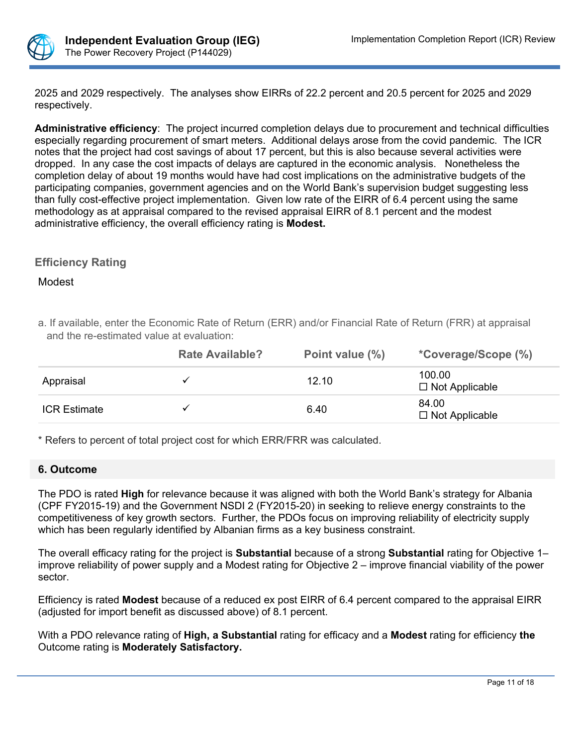

2025 and 2029 respectively. The analyses show EIRRs of 22.2 percent and 20.5 percent for 2025 and 2029 respectively.

**Administrative efficiency**: The project incurred completion delays due to procurement and technical difficulties especially regarding procurement of smart meters. Additional delays arose from the covid pandemic. The ICR notes that the project had cost savings of about 17 percent, but this is also because several activities were dropped. In any case the cost impacts of delays are captured in the economic analysis. Nonetheless the completion delay of about 19 months would have had cost implications on the administrative budgets of the participating companies, government agencies and on the World Bank's supervision budget suggesting less than fully cost-effective project implementation. Given low rate of the EIRR of 6.4 percent using the same methodology as at appraisal compared to the revised appraisal EIRR of 8.1 percent and the modest administrative efficiency, the overall efficiency rating is **Modest.**

### **Efficiency Rating**

Modest

a. If available, enter the Economic Rate of Return (ERR) and/or Financial Rate of Return (FRR) at appraisal and the re-estimated value at evaluation:

|                     | <b>Rate Available?</b> | Point value (%) | <i>*Coverage/Scope (%)</i>      |
|---------------------|------------------------|-----------------|---------------------------------|
| Appraisal           |                        | 12.10           | 100.00<br>$\Box$ Not Applicable |
| <b>ICR Estimate</b> |                        | 6.40            | 84.00<br>$\Box$ Not Applicable  |

\* Refers to percent of total project cost for which ERR/FRR was calculated.

### **6. Outcome**

The PDO is rated **High** for relevance because it was aligned with both the World Bank's strategy for Albania (CPF FY2015-19) and the Government NSDI 2 (FY2015-20) in seeking to relieve energy constraints to the competitiveness of key growth sectors. Further, the PDOs focus on improving reliability of electricity supply which has been regularly identified by Albanian firms as a key business constraint.

The overall efficacy rating for the project is **Substantial** because of a strong **Substantial** rating for Objective 1– improve reliability of power supply and a Modest rating for Objective 2 – improve financial viability of the power sector.

Efficiency is rated **Modest** because of a reduced ex post EIRR of 6.4 percent compared to the appraisal EIRR (adjusted for import benefit as discussed above) of 8.1 percent.

With a PDO relevance rating of **High, a Substantial** rating for efficacy and a **Modest** rating for efficiency **the**  Outcome rating is **Moderately Satisfactory.**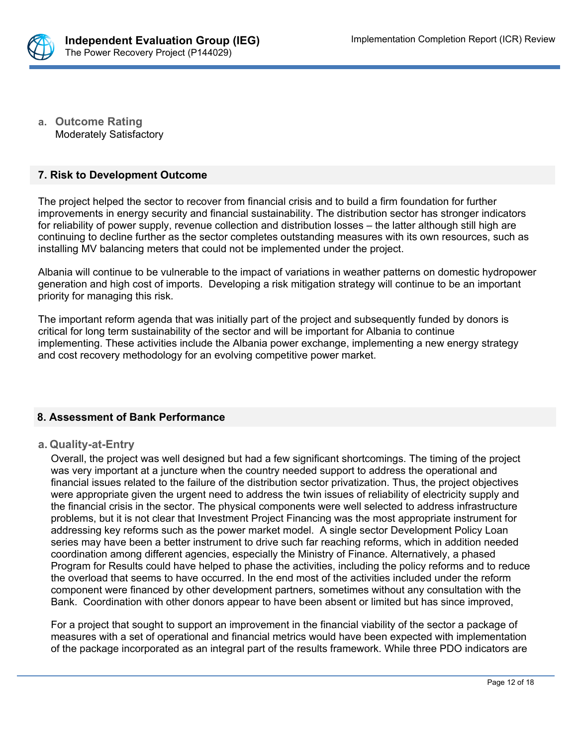

**a. Outcome Rating** Moderately Satisfactory

### **7. Risk to Development Outcome**

The project helped the sector to recover from financial crisis and to build a firm foundation for further improvements in energy security and financial sustainability. The distribution sector has stronger indicators for reliability of power supply, revenue collection and distribution losses – the latter although still high are continuing to decline further as the sector completes outstanding measures with its own resources, such as installing MV balancing meters that could not be implemented under the project.

Albania will continue to be vulnerable to the impact of variations in weather patterns on domestic hydropower generation and high cost of imports. Developing a risk mitigation strategy will continue to be an important priority for managing this risk.

The important reform agenda that was initially part of the project and subsequently funded by donors is critical for long term sustainability of the sector and will be important for Albania to continue implementing. These activities include the Albania power exchange, implementing a new energy strategy and cost recovery methodology for an evolving competitive power market.

### **8. Assessment of Bank Performance**

#### **a. Quality-at-Entry**

Overall, the project was well designed but had a few significant shortcomings. The timing of the project was very important at a juncture when the country needed support to address the operational and financial issues related to the failure of the distribution sector privatization. Thus, the project objectives were appropriate given the urgent need to address the twin issues of reliability of electricity supply and the financial crisis in the sector. The physical components were well selected to address infrastructure problems, but it is not clear that Investment Project Financing was the most appropriate instrument for addressing key reforms such as the power market model. A single sector Development Policy Loan series may have been a better instrument to drive such far reaching reforms, which in addition needed coordination among different agencies, especially the Ministry of Finance. Alternatively, a phased Program for Results could have helped to phase the activities, including the policy reforms and to reduce the overload that seems to have occurred. In the end most of the activities included under the reform component were financed by other development partners, sometimes without any consultation with the Bank. Coordination with other donors appear to have been absent or limited but has since improved,

For a project that sought to support an improvement in the financial viability of the sector a package of measures with a set of operational and financial metrics would have been expected with implementation of the package incorporated as an integral part of the results framework. While three PDO indicators are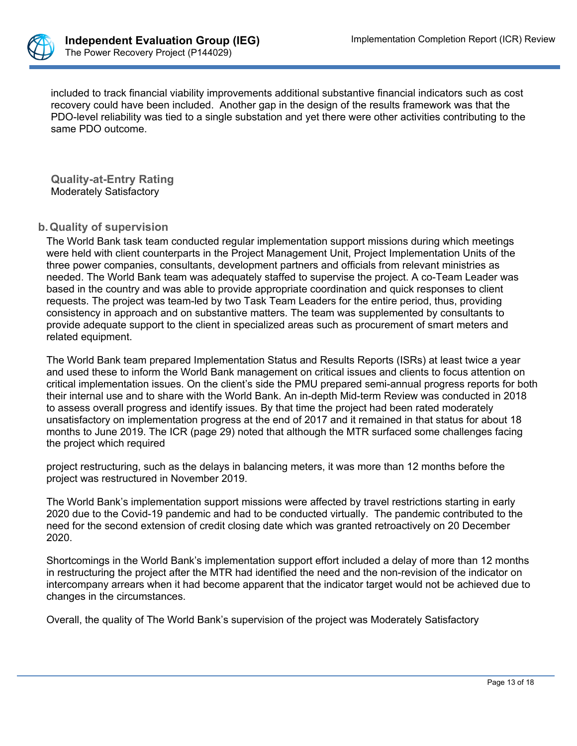

included to track financial viability improvements additional substantive financial indicators such as cost recovery could have been included. Another gap in the design of the results framework was that the PDO-level reliability was tied to a single substation and yet there were other activities contributing to the same PDO outcome.

**Quality-at-Entry Rating** Moderately Satisfactory

### **b.Quality of supervision**

The World Bank task team conducted regular implementation support missions during which meetings were held with client counterparts in the Project Management Unit, Project Implementation Units of the three power companies, consultants, development partners and officials from relevant ministries as needed. The World Bank team was adequately staffed to supervise the project. A co-Team Leader was based in the country and was able to provide appropriate coordination and quick responses to client requests. The project was team-led by two Task Team Leaders for the entire period, thus, providing consistency in approach and on substantive matters. The team was supplemented by consultants to provide adequate support to the client in specialized areas such as procurement of smart meters and related equipment.

The World Bank team prepared Implementation Status and Results Reports (ISRs) at least twice a year and used these to inform the World Bank management on critical issues and clients to focus attention on critical implementation issues. On the client's side the PMU prepared semi-annual progress reports for both their internal use and to share with the World Bank. An in-depth Mid-term Review was conducted in 2018 to assess overall progress and identify issues. By that time the project had been rated moderately unsatisfactory on implementation progress at the end of 2017 and it remained in that status for about 18 months to June 2019. The ICR (page 29) noted that although the MTR surfaced some challenges facing the project which required

project restructuring, such as the delays in balancing meters, it was more than 12 months before the project was restructured in November 2019.

The World Bank's implementation support missions were affected by travel restrictions starting in early 2020 due to the Covid-19 pandemic and had to be conducted virtually. The pandemic contributed to the need for the second extension of credit closing date which was granted retroactively on 20 December 2020.

Shortcomings in the World Bank's implementation support effort included a delay of more than 12 months in restructuring the project after the MTR had identified the need and the non-revision of the indicator on intercompany arrears when it had become apparent that the indicator target would not be achieved due to changes in the circumstances.

Overall, the quality of The World Bank's supervision of the project was Moderately Satisfactory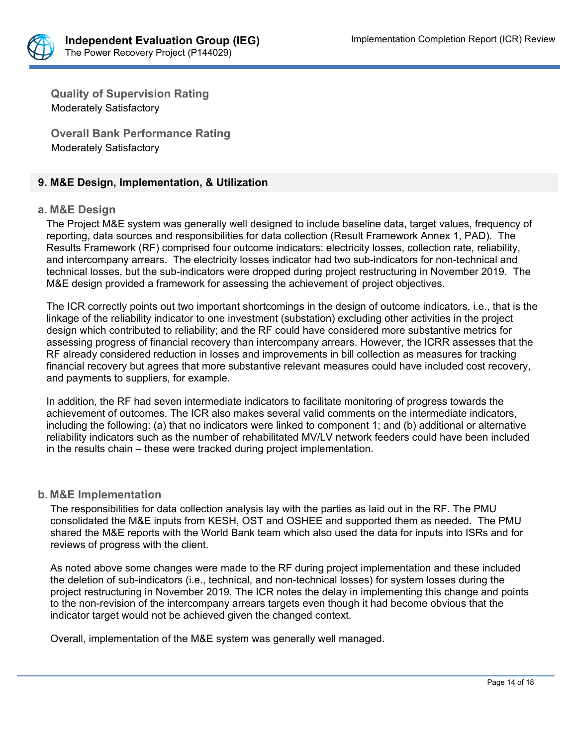

**Quality of Supervision Rating**  Moderately Satisfactory

**Overall Bank Performance Rating** Moderately Satisfactory

### **9. M&E Design, Implementation, & Utilization**

### **a. M&E Design**

The Project M&E system was generally well designed to include baseline data, target values, frequency of reporting, data sources and responsibilities for data collection (Result Framework Annex 1, PAD). The Results Framework (RF) comprised four outcome indicators: electricity losses, collection rate, reliability, and intercompany arrears. The electricity losses indicator had two sub-indicators for non-technical and technical losses, but the sub-indicators were dropped during project restructuring in November 2019. The M&E design provided a framework for assessing the achievement of project objectives.

The ICR correctly points out two important shortcomings in the design of outcome indicators, i.e., that is the linkage of the reliability indicator to one investment (substation) excluding other activities in the project design which contributed to reliability; and the RF could have considered more substantive metrics for assessing progress of financial recovery than intercompany arrears. However, the ICRR assesses that the RF already considered reduction in losses and improvements in bill collection as measures for tracking financial recovery but agrees that more substantive relevant measures could have included cost recovery, and payments to suppliers, for example.

In addition, the RF had seven intermediate indicators to facilitate monitoring of progress towards the achievement of outcomes. The ICR also makes several valid comments on the intermediate indicators, including the following: (a) that no indicators were linked to component 1; and (b) additional or alternative reliability indicators such as the number of rehabilitated MV/LV network feeders could have been included in the results chain – these were tracked during project implementation.

#### **b. M&E Implementation**

The responsibilities for data collection analysis lay with the parties as laid out in the RF. The PMU consolidated the M&E inputs from KESH, OST and OSHEE and supported them as needed. The PMU shared the M&E reports with the World Bank team which also used the data for inputs into ISRs and for reviews of progress with the client.

As noted above some changes were made to the RF during project implementation and these included the deletion of sub-indicators (i.e., technical, and non-technical losses) for system losses during the project restructuring in November 2019. The ICR notes the delay in implementing this change and points to the non-revision of the intercompany arrears targets even though it had become obvious that the indicator target would not be achieved given the changed context.

Overall, implementation of the M&E system was generally well managed.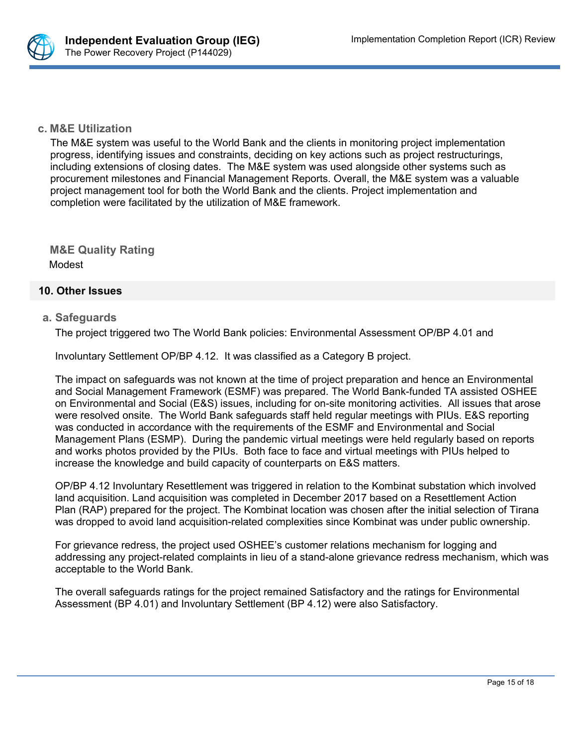

### **c. M&E Utilization**

The M&E system was useful to the World Bank and the clients in monitoring project implementation progress, identifying issues and constraints, deciding on key actions such as project restructurings, including extensions of closing dates. The M&E system was used alongside other systems such as procurement milestones and Financial Management Reports. Overall, the M&E system was a valuable project management tool for both the World Bank and the clients. Project implementation and completion were facilitated by the utilization of M&E framework.

**M&E Quality Rating** Modest

### **10. Other Issues**

### **a. Safeguards**

The project triggered two The World Bank policies: Environmental Assessment OP/BP 4.01 and

Involuntary Settlement OP/BP 4.12. It was classified as a Category B project.

The impact on safeguards was not known at the time of project preparation and hence an Environmental and Social Management Framework (ESMF) was prepared. The World Bank-funded TA assisted OSHEE on Environmental and Social (E&S) issues, including for on-site monitoring activities. All issues that arose were resolved onsite. The World Bank safeguards staff held regular meetings with PIUs. E&S reporting was conducted in accordance with the requirements of the ESMF and Environmental and Social Management Plans (ESMP). During the pandemic virtual meetings were held regularly based on reports and works photos provided by the PIUs. Both face to face and virtual meetings with PIUs helped to increase the knowledge and build capacity of counterparts on E&S matters.

OP/BP 4.12 Involuntary Resettlement was triggered in relation to the Kombinat substation which involved land acquisition. Land acquisition was completed in December 2017 based on a Resettlement Action Plan (RAP) prepared for the project. The Kombinat location was chosen after the initial selection of Tirana was dropped to avoid land acquisition-related complexities since Kombinat was under public ownership.

For grievance redress, the project used OSHEE's customer relations mechanism for logging and addressing any project-related complaints in lieu of a stand-alone grievance redress mechanism, which was acceptable to the World Bank.

The overall safeguards ratings for the project remained Satisfactory and the ratings for Environmental Assessment (BP 4.01) and Involuntary Settlement (BP 4.12) were also Satisfactory.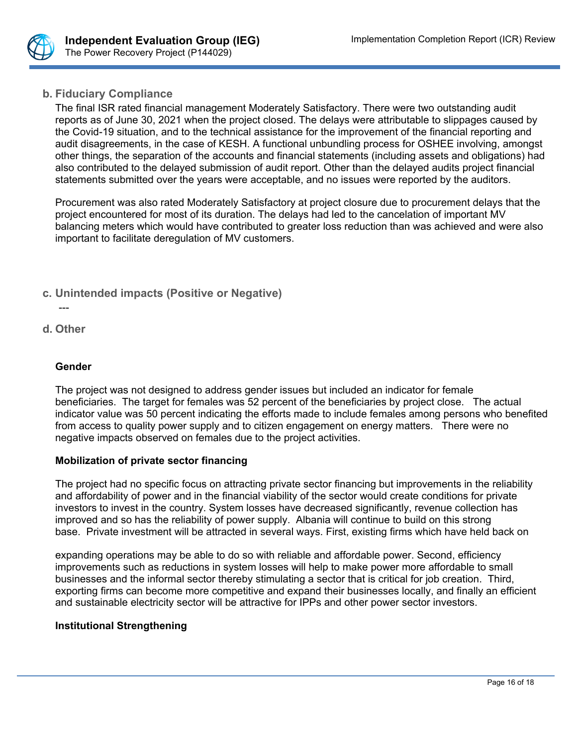

## **b. Fiduciary Compliance**

The final ISR rated financial management Moderately Satisfactory. There were two outstanding audit reports as of June 30, 2021 when the project closed. The delays were attributable to slippages caused by the Covid-19 situation, and to the technical assistance for the improvement of the financial reporting and audit disagreements, in the case of KESH. A functional unbundling process for OSHEE involving, amongst other things, the separation of the accounts and financial statements (including assets and obligations) had also contributed to the delayed submission of audit report. Other than the delayed audits project financial statements submitted over the years were acceptable, and no issues were reported by the auditors.

Procurement was also rated Moderately Satisfactory at project closure due to procurement delays that the project encountered for most of its duration. The delays had led to the cancelation of important MV balancing meters which would have contributed to greater loss reduction than was achieved and were also important to facilitate deregulation of MV customers.

- **c. Unintended impacts (Positive or Negative)**
- -- **d. Other**

### **Gender**

The project was not designed to address gender issues but included an indicator for female beneficiaries. The target for females was 52 percent of the beneficiaries by project close. The actual indicator value was 50 percent indicating the efforts made to include females among persons who benefited from access to quality power supply and to citizen engagement on energy matters. There were no negative impacts observed on females due to the project activities.

### **Mobilization of private sector financing**

The project had no specific focus on attracting private sector financing but improvements in the reliability and affordability of power and in the financial viability of the sector would create conditions for private investors to invest in the country. System losses have decreased significantly, revenue collection has improved and so has the reliability of power supply. Albania will continue to build on this strong base. Private investment will be attracted in several ways. First, existing firms which have held back on

expanding operations may be able to do so with reliable and affordable power. Second, efficiency improvements such as reductions in system losses will help to make power more affordable to small businesses and the informal sector thereby stimulating a sector that is critical for job creation. Third, exporting firms can become more competitive and expand their businesses locally, and finally an efficient and sustainable electricity sector will be attractive for IPPs and other power sector investors.

### **Institutional Strengthening**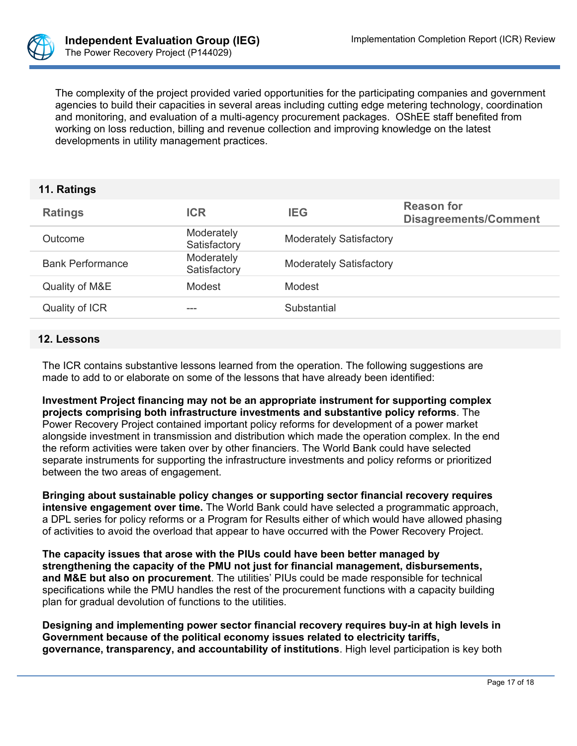

The complexity of the project provided varied opportunities for the participating companies and government agencies to build their capacities in several areas including cutting edge metering technology, coordination and monitoring, and evaluation of a multi-agency procurement packages. OShEE staff benefited from working on loss reduction, billing and revenue collection and improving knowledge on the latest developments in utility management practices.

### **11. Ratings**

| <b>Ratings</b>          | <b>ICR</b>                 | <b>IEG</b>                     | <b>Reason for</b><br><b>Disagreements/Comment</b> |
|-------------------------|----------------------------|--------------------------------|---------------------------------------------------|
| Outcome                 | Moderately<br>Satisfactory | <b>Moderately Satisfactory</b> |                                                   |
| <b>Bank Performance</b> | Moderately<br>Satisfactory | <b>Moderately Satisfactory</b> |                                                   |
| Quality of M&E          | Modest                     | Modest                         |                                                   |
| Quality of ICR          | ---                        | Substantial                    |                                                   |
|                         |                            |                                |                                                   |

#### **12. Lessons**

The ICR contains substantive lessons learned from the operation. The following suggestions are made to add to or elaborate on some of the lessons that have already been identified:

**Investment Project financing may not be an appropriate instrument for supporting complex projects comprising both infrastructure investments and substantive policy reforms**. The Power Recovery Project contained important policy reforms for development of a power market alongside investment in transmission and distribution which made the operation complex. In the end the reform activities were taken over by other financiers. The World Bank could have selected separate instruments for supporting the infrastructure investments and policy reforms or prioritized between the two areas of engagement.

**Bringing about sustainable policy changes or supporting sector financial recovery requires intensive engagement over time.** The World Bank could have selected a programmatic approach, a DPL series for policy reforms or a Program for Results either of which would have allowed phasing of activities to avoid the overload that appear to have occurred with the Power Recovery Project.

**The capacity issues that arose with the PIUs could have been better managed by strengthening the capacity of the PMU not just for financial management, disbursements, and M&E but also on procurement**. The utilities' PIUs could be made responsible for technical specifications while the PMU handles the rest of the procurement functions with a capacity building plan for gradual devolution of functions to the utilities.

**Designing and implementing power sector financial recovery requires buy-in at high levels in Government because of the political economy issues related to electricity tariffs, governance, transparency, and accountability of institutions**. High level participation is key both